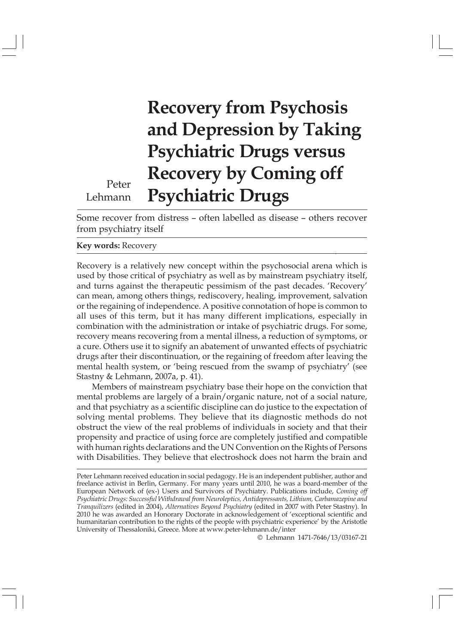# Recovery from Psychosis and Depression by Taking Psychiatric Drugs versus Recovery by Coming off Psychiatric Drugs

Peter Lehmann

Some recover from distress - often labelled as disease - others recover from psychiatry itself

## Key words: Recovery

Recovery is a relatively new concept within the psychosocial arena which is used by those critical of psychiatry as well as by mainstream psychiatry itself, and turns against the therapeutic pessimism of the past decades. 'Recovery' can mean, among others things, rediscovery, healing, improvement, salvation or the regaining of independence. A positive connotation of hope is common to all uses of this term, but it has many different implications, especially in combination with the administration or intake of psychiatric drugs. For some, recovery means recovering from a mental illness, a reduction of symptoms, or a cure. Others use it to signify an abatement of unwanted effects of psychiatric drugs after their discontinuation, or the regaining of freedom after leaving the mental health system, or 'being rescued from the swamp of psychiatry' (see Stastny & Lehmann, 2007a, p. 41).

Members of mainstream psychiatry base their hope on the conviction that mental problems are largely of a brain/organic nature, not of a social nature, and that psychiatry as a scientific discipline can do justice to the expectation of solving mental problems. They believe that its diagnostic methods do not obstruct the view of the real problems of individuals in society and that their propensity and practice of using force are completely justified and compatible with human rights declarations and the UN Convention on the Rights of Persons with Disabilities. They believe that electroshock does not harm the brain and

© Lehmann 1471-7646/13/03167-21

Peter Lehmann received education in social pedagogy. He is an independent publisher, author and freelance activist in Berlin, Germany. For many years until 2010, he was a board-member of the European Network of (ex-) Users and Survivors of Psychiatry. Publications include, Coming off Psychiatric Drugs: Successful Withdrawal from Neuroleptics, Antidepressants, Lithium, Carbamazepine and Tranquilizers (edited in 2004), Alternatives Beyond Psychiatry (edited in 2007 with Peter Stastny). In 2010 he was awarded an Honorary Doctorate in acknowledgement of "exceptional scientific and humanitarian contribution to the rights of the people with psychiatric experience' by the Aristotle University of Thessaloniki, Greece. More at www.peter-lehmann.de/inter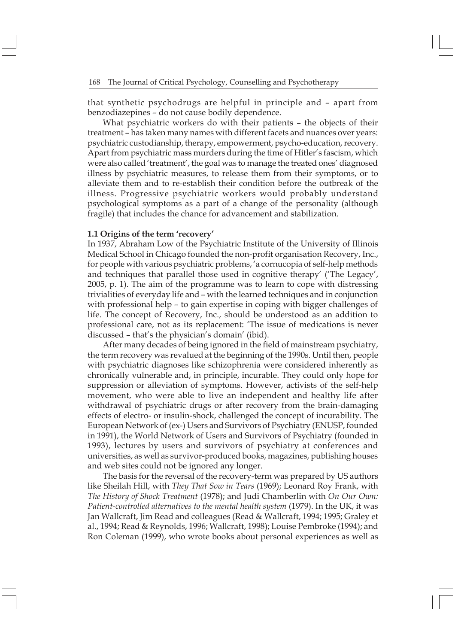that synthetic psychodrugs are helpful in principle and  $\overline{\phantom{a}}$  - apart from benzodiazepines - do not cause bodily dependence.

What psychiatric workers do with their patients - the objects of their treatment - has taken many names with different facets and nuances over years: psychiatric custodianship, therapy, empowerment, psycho-education, recovery. Apart from psychiatric mass murders during the time of Hitler"s fascism, which were also called 'treatment', the goal was to manage the treated ones' diagnosed illness by psychiatric measures, to release them from their symptoms, or to alleviate them and to re-establish their condition before the outbreak of the illness. Progressive psychiatric workers would probably understand psychological symptoms as a part of a change of the personality (although fragile) that includes the chance for advancement and stabilization.

#### 1.1 Origins of the term 'recovery'

In 1937, Abraham Low of the Psychiatric Institute of the University of Illinois Medical School in Chicago founded the non-profit organisation Recovery, Inc., for people with various psychiatric problems, 'a cornucopia of self-help methods and techniques that parallel those used in cognitive therapy' ('The Legacy', 2005, p. 1). The aim of the programme was to learn to cope with distressing trivialities of everyday life and  $-$  with the learned techniques and in conjunction with professional help - to gain expertise in coping with bigger challenges of life. The concept of Recovery, Inc., should be understood as an addition to professional care, not as its replacement: 'The issue of medications is never discussed – that's the physician's domain' (ibid).

After many decades of being ignored in the field of mainstream psychiatry, the term recovery was revalued at the beginning of the 1990s. Until then, people with psychiatric diagnoses like schizophrenia were considered inherently as chronically vulnerable and, in principle, incurable. They could only hope for suppression or alleviation of symptoms. However, activists of the self-help movement, who were able to live an independent and healthy life after withdrawal of psychiatric drugs or after recovery from the brain-damaging effects of electro- or insulin-shock, challenged the concept of incurability. The European Network of (ex-) Users and Survivors of Psychiatry (ENUSP, founded in 1991), the World Network of Users and Survivors of Psychiatry (founded in 1993), lectures by users and survivors of psychiatry at conferences and universities, as well as survivor-produced books, magazines, publishing houses and web sites could not be ignored any longer.

The basis for the reversal of the recovery-term was prepared by US authors like Sheilah Hill, with They That Sow in Tears (1969); Leonard Roy Frank, with The History of Shock Treatment (1978); and Judi Chamberlin with On Our Own: Patient-controlled alternatives to the mental health system (1979). In the UK, it was Jan Wallcraft, Jim Read and colleagues (Read & Wallcraft, 1994; 1995; Graley et al., 1994; Read & Reynolds, 1996; Wallcraft, 1998); Louise Pembroke (1994); and Ron Coleman (1999), who wrote books about personal experiences as well as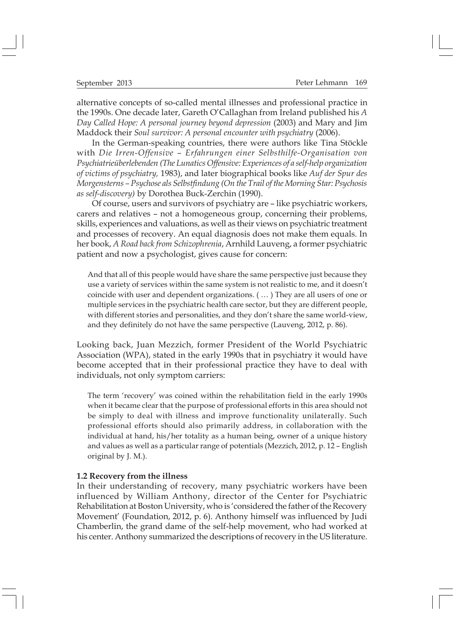alternative concepts of so-called mental illnesses and professional practice in the 1990s. One decade later, Gareth O'Callaghan from Ireland published his  $A$ Day Called Hope: A personal journey beyond depression (2003) and Mary and Jim Maddock their Soul survivor: A personal encounter with psychiatry (2006).

In the German-speaking countries, there were authors like Tina Stöckle with Die Irren-Offensive – Erfahrungen einer Selbsthilfe-Organisation von Psychiatrieüberlebenden (The Lunatics Offensive: Experiences of a self-help organization of victims of psychiatry, 1983), and later biographical books like Auf der Spur des Morgensterns ! Psychose als Selbstfindung (On the Trail of the Morning Star: Psychosis as self-discovery) by Dorothea Buck-Zerchin (1990).

Of course, users and survivors of psychiatry are - like psychiatric workers, carers and relatives - not a homogeneous group, concerning their problems, skills, experiences and valuations, as well as their views on psychiatric treatment and processes of recovery. An equal diagnosis does not make them equals. In her book, A Road back from Schizophrenia, Arnhild Lauveng, a former psychiatric patient and now a psychologist, gives cause for concern:

And that all of this people would have share the same perspective just because they use a variety of services within the same system is not realistic to me, and it doesn't coincide with user and dependent organizations.  $( \dots )$  They are all users of one or multiple services in the psychiatric health care sector, but they are different people, with different stories and personalities, and they don't share the same world-view, and they definitely do not have the same perspective (Lauveng, 2012, p. 86).

Looking back, Juan Mezzich, former President of the World Psychiatric Association (WPA), stated in the early 1990s that in psychiatry it would have become accepted that in their professional practice they have to deal with individuals, not only symptom carriers:

The term 'recovery' was coined within the rehabilitation field in the early 1990s when it became clear that the purpose of professional efforts in this area should not be simply to deal with illness and improve functionality unilaterally. Such professional efforts should also primarily address, in collaboration with the individual at hand, his/her totality as a human being, owner of a unique history and values as well as a particular range of potentials (Mezzich, 2012, p. 12 - English original by J. M.).

#### 1.2 Recovery from the illness

In their understanding of recovery, many psychiatric workers have been influenced by William Anthony, director of the Center for Psychiatric Rehabilitation at Boston University, who is 'considered the father of the Recovery Movement' (Foundation, 2012, p. 6). Anthony himself was influenced by Judi Chamberlin, the grand dame of the self-help movement, who had worked at his center. Anthony summarized the descriptions of recovery in the US literature.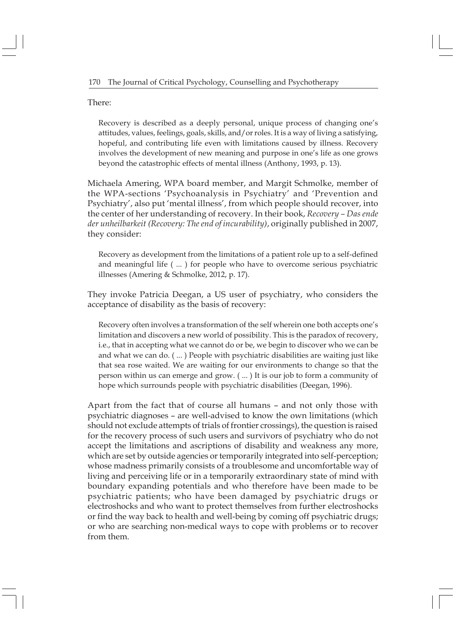There:

Recovery is described as a deeply personal, unique process of changing one's attitudes, values, feelings, goals, skills, and/or roles. It is a way of living a satisfying, hopeful, and contributing life even with limitations caused by illness. Recovery involves the development of new meaning and purpose in one's life as one grows beyond the catastrophic effects of mental illness (Anthony, 1993, p. 13).

Michaela Amering, WPA board member, and Margit Schmolke, member of the WPA-sections 'Psychoanalysis in Psychiatry' and 'Prevention and Psychiatry', also put 'mental illness', from which people should recover, into the center of her understanding of recovery. In their book, Recovery - Das ende der unheilbarkeit (Recovery: The end of incurability), originally published in 2007, they consider:

Recovery as development from the limitations of a patient role up to a self-defined and meaningful life ( ... ) for people who have to overcome serious psychiatric illnesses (Amering & Schmolke, 2012, p. 17).

They invoke Patricia Deegan, a US user of psychiatry, who considers the acceptance of disability as the basis of recovery:

Recovery often involves a transformation of the self wherein one both accepts one's limitation and discovers a new world of possibility. This is the paradox of recovery, i.e., that in accepting what we cannot do or be, we begin to discover who we can be and what we can do. ( ... ) People with psychiatric disabilities are waiting just like that sea rose waited. We are waiting for our environments to change so that the person within us can emerge and grow. ( ... ) It is our job to form a community of hope which surrounds people with psychiatric disabilities (Deegan, 1996).

Apart from the fact that of course all humans - and not only those with psychiatric diagnoses # are well-advised to know the own limitations (which should not exclude attempts of trials of frontier crossings), the question is raised for the recovery process of such users and survivors of psychiatry who do not accept the limitations and ascriptions of disability and weakness any more, which are set by outside agencies or temporarily integrated into self-perception; whose madness primarily consists of a troublesome and uncomfortable way of living and perceiving life or in a temporarily extraordinary state of mind with boundary expanding potentials and who therefore have been made to be psychiatric patients; who have been damaged by psychiatric drugs or electroshocks and who want to protect themselves from further electroshocks or find the way back to health and well-being by coming off psychiatric drugs; or who are searching non-medical ways to cope with problems or to recover from them.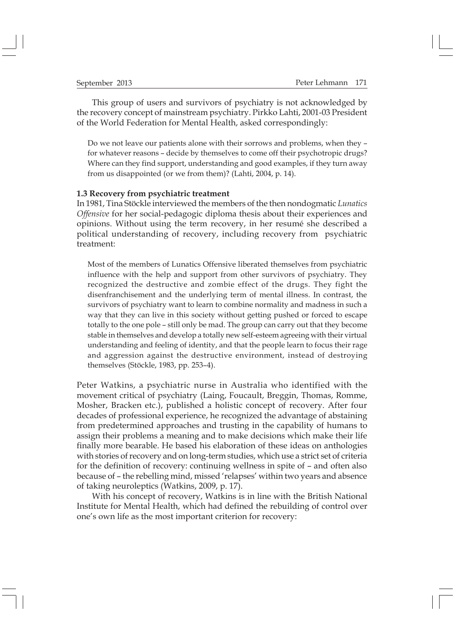This group of users and survivors of psychiatry is not acknowledged by the recovery concept of mainstream psychiatry. Pirkko Lahti, 2001-03 President of the World Federation for Mental Health, asked correspondingly:

Do we not leave our patients alone with their sorrows and problems, when they – for whatever reasons - decide by themselves to come off their psychotropic drugs? Where can they find support, understanding and good examples, if they turn away from us disappointed (or we from them)? (Lahti, 2004, p. 14).

#### 1.3 Recovery from psychiatric treatment

In 1981, Tina Stöckle interviewed the members of the then nondogmatic Lunatics Offensive for her social-pedagogic diploma thesis about their experiences and opinions. Without using the term recovery, in her resumÈ she described a political understanding of recovery, including recovery from psychiatric treatment:

Most of the members of Lunatics Offensive liberated themselves from psychiatric influence with the help and support from other survivors of psychiatry. They recognized the destructive and zombie effect of the drugs. They fight the disenfranchisement and the underlying term of mental illness. In contrast, the survivors of psychiatry want to learn to combine normality and madness in such a way that they can live in this society without getting pushed or forced to escape totally to the one pole - still only be mad. The group can carry out that they become stable in themselves and develop a totally new self-esteem agreeing with their virtual understanding and feeling of identity, and that the people learn to focus their rage and aggression against the destructive environment, instead of destroying themselves (Stöckle, 1983, pp. 253-4).

Peter Watkins, a psychiatric nurse in Australia who identified with the movement critical of psychiatry (Laing, Foucault, Breggin, Thomas, Romme, Mosher, Bracken etc.), published a holistic concept of recovery. After four decades of professional experience, he recognized the advantage of abstaining from predetermined approaches and trusting in the capability of humans to assign their problems a meaning and to make decisions which make their life finally more bearable. He based his elaboration of these ideas on anthologies with stories of recovery and on long-term studies, which use a strict set of criteria for the definition of recovery: continuing wellness in spite of  $-$  and often also because of - the rebelling mind, missed 'relapses' within two years and absence of taking neuroleptics (Watkins, 2009, p. 17).

With his concept of recovery, Watkins is in line with the British National Institute for Mental Health, which had defined the rebuilding of control over one's own life as the most important criterion for recovery: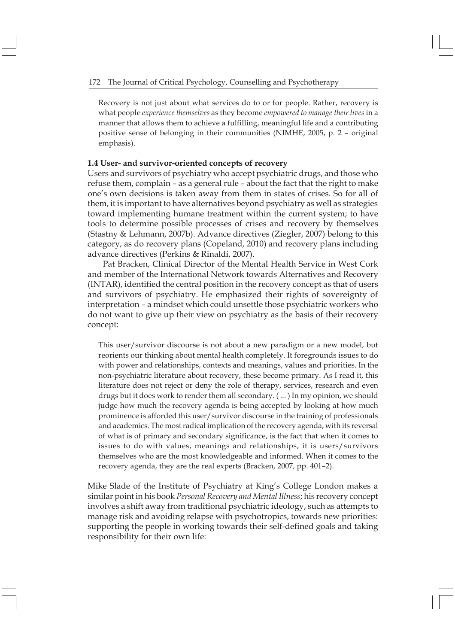Recovery is not just about what services do to or for people. Rather, recovery is what people experience themselves as they become empowered to manage their lives in a manner that allows them to achieve a fulfilling, meaningful life and a contributing positive sense of belonging in their communities (NIMHE, 2005, p. 2 - original emphasis).

## 1.4 User- and survivor-oriented concepts of recovery

Users and survivors of psychiatry who accept psychiatric drugs, and those who refuse them, complain  $-$  as a general rule  $-$  about the fact that the right to make one"s own decisions is taken away from them in states of crises. So for all of them, it is important to have alternatives beyond psychiatry as well as strategies toward implementing humane treatment within the current system; to have tools to determine possible processes of crises and recovery by themselves (Stastny & Lehmann, 2007b). Advance directives (Ziegler, 2007) belong to this category, as do recovery plans (Copeland, 2010) and recovery plans including advance directives (Perkins & Rinaldi, 2007).

Pat Bracken, Clinical Director of the Mental Health Service in West Cork and member of the International Network towards Alternatives and Recovery (INTAR), identified the central position in the recovery concept as that of users and survivors of psychiatry. He emphasized their rights of sovereignty of interpretation - a mindset which could unsettle those psychiatric workers who do not want to give up their view on psychiatry as the basis of their recovery concept:

This user/survivor discourse is not about a new paradigm or a new model, but reorients our thinking about mental health completely. It foregrounds issues to do with power and relationships, contexts and meanings, values and priorities. In the non-psychiatric literature about recovery, these become primary. As I read it, this literature does not reject or deny the role of therapy, services, research and even drugs but it does work to render them all secondary. ( ... ) In my opinion, we should judge how much the recovery agenda is being accepted by looking at how much prominence is afforded this user/survivor discourse in the training of professionals and academics. The most radical implication of the recovery agenda, with its reversal of what is of primary and secondary significance, is the fact that when it comes to issues to do with values, meanings and relationships, it is users/survivors themselves who are the most knowledgeable and informed. When it comes to the recovery agenda, they are the real experts (Bracken, 2007, pp. 401–2).

Mike Slade of the Institute of Psychiatry at King"s College London makes a similar point in his book Personal Recovery and Mental Illness; his recovery concept involves a shift away from traditional psychiatric ideology, such as attempts to manage risk and avoiding relapse with psychotropics, towards new priorities: supporting the people in working towards their self-defined goals and taking responsibility for their own life: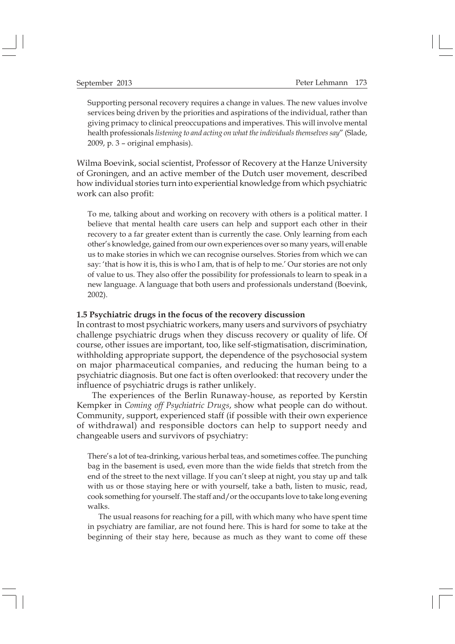Supporting personal recovery requires a change in values. The new values involve services being driven by the priorities and aspirations of the individual, rather than giving primacy to clinical preoccupations and imperatives. This will involve mental health professionals listening to and acting on what the individuals themselves say" (Slade, 2009, p. 3 – original emphasis).

Wilma Boevink, social scientist, Professor of Recovery at the Hanze University of Groningen, and an active member of the Dutch user movement, described how individual stories turn into experiential knowledge from which psychiatric work can also profit:

To me, talking about and working on recovery with others is a political matter. I believe that mental health care users can help and support each other in their recovery to a far greater extent than is currently the case. Only learning from each other's knowledge, gained from our own experiences over so many years, will enable us to make stories in which we can recognise ourselves. Stories from which we can say: 'that is how it is, this is who I am, that is of help to me.' Our stories are not only of value to us. They also offer the possibility for professionals to learn to speak in a new language. A language that both users and professionals understand (Boevink, 2002).

#### 1.5 Psychiatric drugs in the focus of the recovery discussion

In contrast to most psychiatric workers, many users and survivors of psychiatry challenge psychiatric drugs when they discuss recovery or quality of life. Of course, other issues are important, too, like self-stigmatisation, discrimination, withholding appropriate support, the dependence of the psychosocial system on major pharmaceutical companies, and reducing the human being to a psychiatric diagnosis. But one fact is often overlooked: that recovery under the influence of psychiatric drugs is rather unlikely.

The experiences of the Berlin Runaway-house, as reported by Kerstin Kempker in Coming off Psychiatric Drugs, show what people can do without. Community, support, experienced staff (if possible with their own experience of withdrawal) and responsible doctors can help to support needy and changeable users and survivors of psychiatry:

There's a lot of tea-drinking, various herbal teas, and sometimes coffee. The punching bag in the basement is used, even more than the wide fields that stretch from the end of the street to the next village. If you can't sleep at night, you stay up and talk with us or those staying here or with yourself, take a bath, listen to music, read, cook something for yourself. The staff and/or the occupants love to take long evening walks.

The usual reasons for reaching for a pill, with which many who have spent time in psychiatry are familiar, are not found here. This is hard for some to take at the beginning of their stay here, because as much as they want to come off these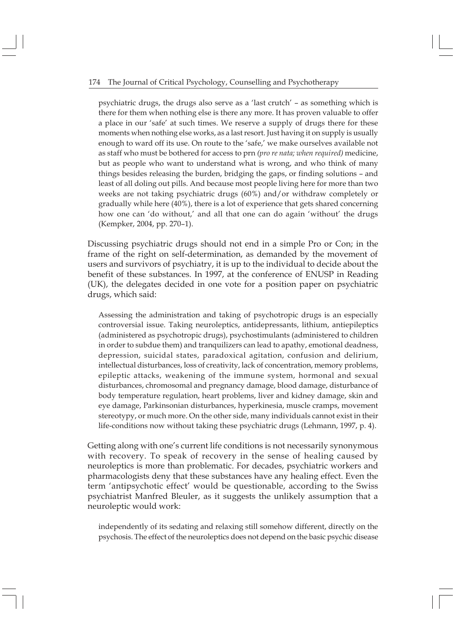psychiatric drugs, the drugs also serve as a 'last crutch' – as something which is there for them when nothing else is there any more. It has proven valuable to offer a place in our 'safe' at such times. We reserve a supply of drugs there for these moments when nothing else works, as a last resort. Just having it on supply is usually enough to ward off its use. On route to the 'safe,' we make ourselves available not as staff who must be bothered for access to prn (pro re nata; when required) medicine, but as people who want to understand what is wrong, and who think of many things besides releasing the burden, bridging the gaps, or finding solutions - and least of all doling out pills. And because most people living here for more than two weeks are not taking psychiatric drugs (60%) and/or withdraw completely or gradually while here (40%), there is a lot of experience that gets shared concerning how one can 'do without,' and all that one can do again 'without' the drugs (Kempker, 2004, pp. 270-1).

Discussing psychiatric drugs should not end in a simple Pro or Con; in the frame of the right on self-determination, as demanded by the movement of users and survivors of psychiatry, it is up to the individual to decide about the benefit of these substances. In 1997, at the conference of ENUSP in Reading (UK), the delegates decided in one vote for a position paper on psychiatric drugs, which said:

Assessing the administration and taking of psychotropic drugs is an especially controversial issue. Taking neuroleptics, antidepressants, lithium, antiepileptics (administered as psychotropic drugs), psychostimulants (administered to children in order to subdue them) and tranquilizers can lead to apathy, emotional deadness, depression, suicidal states, paradoxical agitation, confusion and delirium, intellectual disturbances, loss of creativity, lack of concentration, memory problems, epileptic attacks, weakening of the immune system, hormonal and sexual disturbances, chromosomal and pregnancy damage, blood damage, disturbance of body temperature regulation, heart problems, liver and kidney damage, skin and eye damage, Parkinsonian disturbances, hyperkinesia, muscle cramps, movement stereotypy, or much more. On the other side, many individuals cannot exist in their life-conditions now without taking these psychiatric drugs (Lehmann, 1997, p. 4).

Getting along with one"s current life conditions is not necessarily synonymous with recovery. To speak of recovery in the sense of healing caused by neuroleptics is more than problematic. For decades, psychiatric workers and pharmacologists deny that these substances have any healing effect. Even the term 'antipsychotic effect' would be questionable, according to the Swiss psychiatrist Manfred Bleuler, as it suggests the unlikely assumption that a neuroleptic would work:

independently of its sedating and relaxing still somehow different, directly on the psychosis. The effect of the neuroleptics does not depend on the basic psychic disease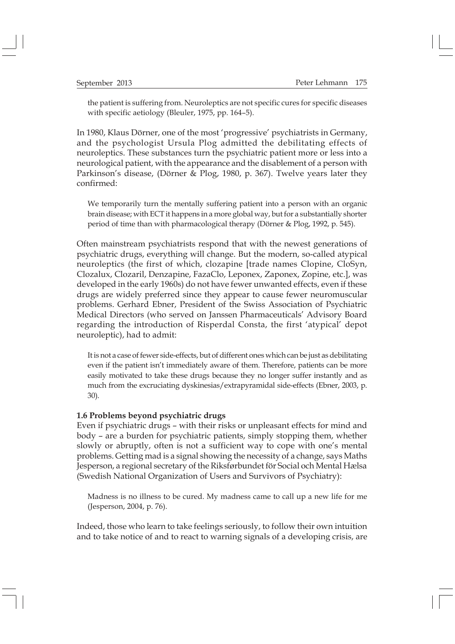the patient is suffering from. Neuroleptics are not specific cures for specific diseases with specific aetiology (Bleuler, 1975, pp. 164-5).

In 1980, Klaus Dörner, one of the most 'progressive' psychiatrists in Germany, and the psychologist Ursula Plog admitted the debilitating effects of neuroleptics. These substances turn the psychiatric patient more or less into a neurological patient, with the appearance and the disablement of a person with Parkinson's disease, (Dörner & Plog, 1980, p. 367). Twelve years later they confirmed:

We temporarily turn the mentally suffering patient into a person with an organic brain disease; with ECT it happens in a more global way, but for a substantially shorter period of time than with pharmacological therapy (Dörner & Plog, 1992, p. 545).

Often mainstream psychiatrists respond that with the newest generations of psychiatric drugs, everything will change. But the modern, so-called atypical neuroleptics (the first of which, clozapine [trade names Clopine, CloSyn, Clozalux, Clozaril, Denzapine, FazaClo, Leponex, Zaponex, Zopine, etc.], was developed in the early 1960s) do not have fewer unwanted effects, even if these drugs are widely preferred since they appear to cause fewer neuromuscular problems. Gerhard Ebner, President of the Swiss Association of Psychiatric Medical Directors (who served on Janssen Pharmaceuticals' Advisory Board regarding the introduction of Risperdal Consta, the first 'atypical' depot neuroleptic), had to admit:

It is not a case of fewer side-effects, but of different ones which can be just as debilitating even if the patient isn't immediately aware of them. Therefore, patients can be more easily motivated to take these drugs because they no longer suffer instantly and as much from the excruciating dyskinesias/extrapyramidal side-effects (Ebner, 2003, p. 30).

#### 1.6 Problems beyond psychiatric drugs

Even if psychiatric drugs - with their risks or unpleasant effects for mind and body - are a burden for psychiatric patients, simply stopping them, whether slowly or abruptly, often is not a sufficient way to cope with one's mental problems. Getting mad is a signal showing the necessity of a change, says Maths Jesperson, a regional secretary of the Riksførbundet för Social och Mental Hælsa (Swedish National Organization of Users and Survivors of Psychiatry):

Madness is no illness to be cured. My madness came to call up a new life for me (Jesperson, 2004, p. 76).

Indeed, those who learn to take feelings seriously, to follow their own intuition and to take notice of and to react to warning signals of a developing crisis, are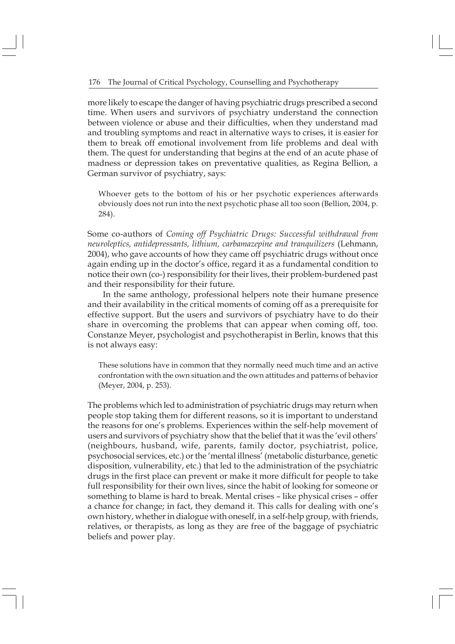more likely to escape the danger of having psychiatric drugs prescribed a second time. When users and survivors of psychiatry understand the connection between violence or abuse and their difficulties, when they understand mad and troubling symptoms and react in alternative ways to crises, it is easier for them to break off emotional involvement from life problems and deal with them. The quest for understanding that begins at the end of an acute phase of madness or depression takes on preventative qualities, as Regina Bellion, a German survivor of psychiatry, says:

Whoever gets to the bottom of his or her psychotic experiences afterwards obviously does not run into the next psychotic phase all too soon (Bellion, 2004, p. 284).

Some co-authors of Coming off Psychiatric Drugs: Successful withdrawal from neuroleptics, antidepressants, lithium, carbamazepine and tranquilizers (Lehmann, 2004), who gave accounts of how they came off psychiatric drugs without once again ending up in the doctor's office, regard it as a fundamental condition to notice their own (co-) responsibility for their lives, their problem-burdened past and their responsibility for their future.

In the same anthology, professional helpers note their humane presence and their availability in the critical moments of coming off as a prerequisite for effective support. But the users and survivors of psychiatry have to do their share in overcoming the problems that can appear when coming off, too. Constanze Meyer, psychologist and psychotherapist in Berlin, knows that this is not always easy:

These solutions have in common that they normally need much time and an active confrontation with the own situation and the own attitudes and patterns of behavior (Meyer, 2004, p. 253).

The problems which led to administration of psychiatric drugs may return when people stop taking them for different reasons, so it is important to understand the reasons for one's problems. Experiences within the self-help movement of users and survivors of psychiatry show that the belief that it was the 'evil others' (neighbours, husband, wife, parents, family doctor, psychiatrist, police, psychosocial services, etc.) or the 'mental illness' (metabolic disturbance, genetic disposition, vulnerability, etc.) that led to the administration of the psychiatric drugs in the first place can prevent or make it more difficult for people to take full responsibility for their own lives, since the habit of looking for someone or something to blame is hard to break. Mental crises - like physical crises - offer a chance for change; in fact, they demand it. This calls for dealing with one's own history, whether in dialogue with oneself, in a self-help group, with friends, relatives, or therapists, as long as they are free of the baggage of psychiatric beliefs and power play.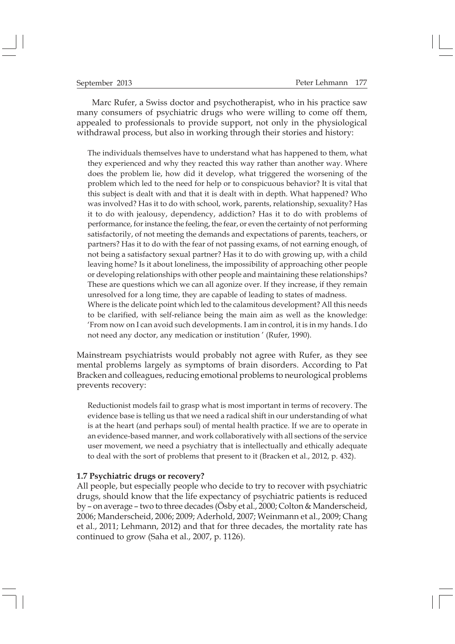Marc Rufer, a Swiss doctor and psychotherapist, who in his practice saw many consumers of psychiatric drugs who were willing to come off them, appealed to professionals to provide support, not only in the physiological withdrawal process, but also in working through their stories and history:

The individuals themselves have to understand what has happened to them, what they experienced and why they reacted this way rather than another way. Where does the problem lie, how did it develop, what triggered the worsening of the problem which led to the need for help or to conspicuous behavior? It is vital that this subject is dealt with and that it is dealt with in depth. What happened? Who was involved? Has it to do with school, work, parents, relationship, sexuality? Has it to do with jealousy, dependency, addiction? Has it to do with problems of performance, for instance the feeling, the fear, or even the certainty of not performing satisfactorily, of not meeting the demands and expectations of parents, teachers, or partners? Has it to do with the fear of not passing exams, of not earning enough, of not being a satisfactory sexual partner? Has it to do with growing up, with a child leaving home? Is it about loneliness, the impossibility of approaching other people or developing relationships with other people and maintaining these relationships? These are questions which we can all agonize over. If they increase, if they remain unresolved for a long time, they are capable of leading to states of madness. Where is the delicate point which led to the calamitous development? All this needs

to be clarified, with self-reliance being the main aim as well as the knowledge: !From now on I can avoid such developments. I am in control, it is in my hands. I do not need any doctor, any medication or institution " (Rufer, 1990).

Mainstream psychiatrists would probably not agree with Rufer, as they see mental problems largely as symptoms of brain disorders. According to Pat Bracken and colleagues, reducing emotional problems to neurological problems prevents recovery:

Reductionist models fail to grasp what is most important in terms of recovery. The evidence base is telling us that we need a radical shift in our understanding of what is at the heart (and perhaps soul) of mental health practice. If we are to operate in an evidence-based manner, and work collaboratively with all sections of the service user movement, we need a psychiatry that is intellectually and ethically adequate to deal with the sort of problems that present to it (Bracken et al., 2012, p. 432).

#### 1.7 Psychiatric drugs or recovery?

All people, but especially people who decide to try to recover with psychiatric drugs, should know that the life expectancy of psychiatric patients is reduced by  $-$  on average  $-$  two to three decades (Ösby et al., 2000; Colton & Manderscheid, 2006; Manderscheid, 2006; 2009; Aderhold, 2007; Weinmann et al., 2009; Chang et al., 2011; Lehmann, 2012) and that for three decades, the mortality rate has continued to grow (Saha et al., 2007, p. 1126).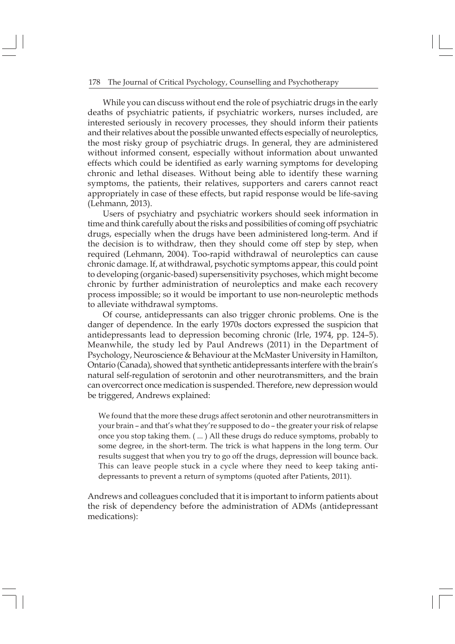While you can discuss without end the role of psychiatric drugs in the early deaths of psychiatric patients, if psychiatric workers, nurses included, are interested seriously in recovery processes, they should inform their patients and their relatives about the possible unwanted effects especially of neuroleptics, the most risky group of psychiatric drugs. In general, they are administered without informed consent, especially without information about unwanted effects which could be identified as early warning symptoms for developing chronic and lethal diseases. Without being able to identify these warning symptoms, the patients, their relatives, supporters and carers cannot react appropriately in case of these effects, but rapid response would be life-saving (Lehmann, 2013).

Users of psychiatry and psychiatric workers should seek information in time and think carefully about the risks and possibilities of coming off psychiatric drugs, especially when the drugs have been administered long-term. And if the decision is to withdraw, then they should come off step by step, when required (Lehmann, 2004). Too-rapid withdrawal of neuroleptics can cause chronic damage. If, at withdrawal, psychotic symptoms appear, this could point to developing (organic-based) supersensitivity psychoses, which might become chronic by further administration of neuroleptics and make each recovery process impossible; so it would be important to use non-neuroleptic methods to alleviate withdrawal symptoms.

Of course, antidepressants can also trigger chronic problems. One is the danger of dependence. In the early 1970s doctors expressed the suspicion that antidepressants lead to depression becoming chronic (Irle,  $1974$ , pp.  $124-5$ ). Meanwhile, the study led by Paul Andrews (2011) in the Department of Psychology, Neuroscience & Behaviour at the McMaster University in Hamilton, Ontario (Canada), showed that synthetic antidepressants interfere with the brain"s natural self-regulation of serotonin and other neurotransmitters, and the brain can overcorrect once medication is suspended. Therefore, new depression would be triggered, Andrews explained:

We found that the more these drugs affect serotonin and other neurotransmitters in your brain - and that's what they're supposed to do - the greater your risk of relapse once you stop taking them. ( ... ) All these drugs do reduce symptoms, probably to some degree, in the short-term. The trick is what happens in the long term. Our results suggest that when you try to go off the drugs, depression will bounce back. This can leave people stuck in a cycle where they need to keep taking antidepressants to prevent a return of symptoms (quoted after Patients, 2011).

Andrews and colleagues concluded that it is important to inform patients about the risk of dependency before the administration of ADMs (antidepressant medications):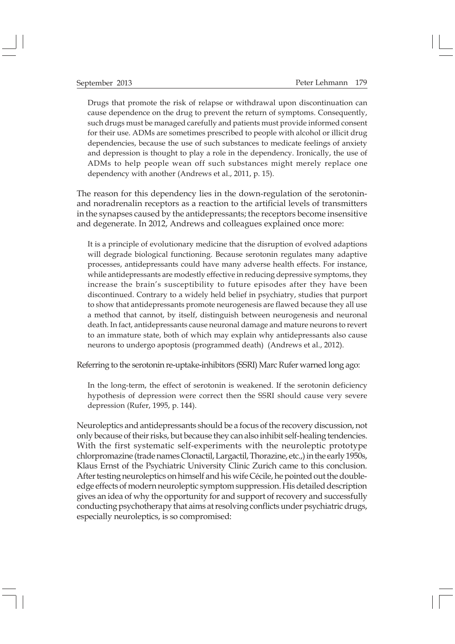Drugs that promote the risk of relapse or withdrawal upon discontinuation can cause dependence on the drug to prevent the return of symptoms. Consequently, such drugs must be managed carefully and patients must provide informed consent for their use. ADMs are sometimes prescribed to people with alcohol or illicit drug dependencies, because the use of such substances to medicate feelings of anxiety and depression is thought to play a role in the dependency. Ironically, the use of ADMs to help people wean off such substances might merely replace one dependency with another (Andrews et al., 2011, p. 15).

The reason for this dependency lies in the down-regulation of the serotoninand noradrenalin receptors as a reaction to the artificial levels of transmitters in the synapses caused by the antidepressants; the receptors become insensitive and degenerate. In 2012, Andrews and colleagues explained once more:

It is a principle of evolutionary medicine that the disruption of evolved adaptions will degrade biological functioning. Because serotonin regulates many adaptive processes, antidepressants could have many adverse health effects. For instance, while antidepressants are modestly effective in reducing depressive symptoms, they increase the brain's susceptibility to future episodes after they have been discontinued. Contrary to a widely held belief in psychiatry, studies that purport to show that antidepressants promote neurogenesis are flawed because they all use a method that cannot, by itself, distinguish between neurogenesis and neuronal death. In fact, antidepressants cause neuronal damage and mature neurons to revert to an immature state, both of which may explain why antidepressants also cause neurons to undergo apoptosis (programmed death) (Andrews et al., 2012).

Referring to the serotonin re-uptake-inhibitors (SSRI) Marc Rufer warned long ago:

In the long-term, the effect of serotonin is weakened. If the serotonin deficiency hypothesis of depression were correct then the SSRI should cause very severe depression (Rufer, 1995, p. 144).

Neuroleptics and antidepressants should be a focus of the recovery discussion, not only because of their risks, but because they can also inhibit self-healing tendencies. With the first systematic self-experiments with the neuroleptic prototype chlorpromazine (trade names Clonactil, Largactil, Thorazine, etc.,) in the early 1950s, Klaus Ernst of the Psychiatric University Clinic Zurich came to this conclusion. After testing neuroleptics on himself and his wife Cécile, he pointed out the doubleedge effects of modern neuroleptic symptom suppression. His detailed description gives an idea of why the opportunity for and support of recovery and successfully conducting psychotherapy that aims at resolving conflicts under psychiatric drugs, especially neuroleptics, is so compromised: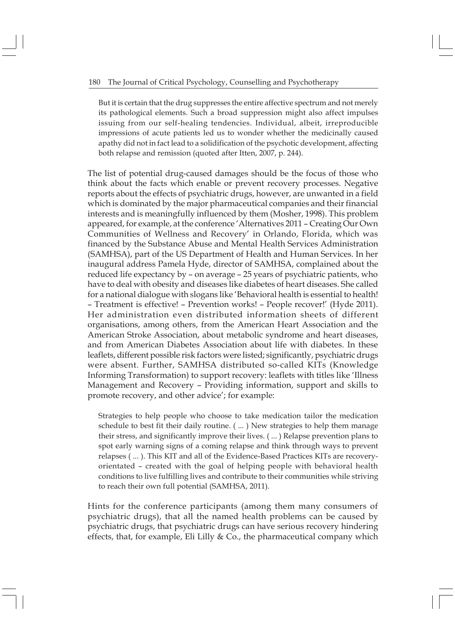But it is certain that the drug suppresses the entire affective spectrum and not merely its pathological elements. Such a broad suppression might also affect impulses issuing from our self-healing tendencies. Individual, albeit, irreproducible impressions of acute patients led us to wonder whether the medicinally caused apathy did not in fact lead to a solidification of the psychotic development, affecting both relapse and remission (quoted after Itten, 2007, p. 244).

The list of potential drug-caused damages should be the focus of those who think about the facts which enable or prevent recovery processes. Negative reports about the effects of psychiatric drugs, however, are unwanted in a field which is dominated by the major pharmaceutical companies and their financial interests and is meaningfully influenced by them (Mosher, 1998). This problem appeared, for example, at the conference 'Alternatives 2011 - Creating Our Own Communities of Wellness and Recovery' in Orlando, Florida, which was financed by the Substance Abuse and Mental Health Services Administration (SAMHSA), part of the US Department of Health and Human Services. In her inaugural address Pamela Hyde, director of SAMHSA, complained about the reduced life expectancy by - on average - 25 years of psychiatric patients, who have to deal with obesity and diseases like diabetes of heart diseases. She called for a national dialogue with slogans like 'Behavioral health is essential to health! - Treatment is effective! - Prevention works! - People recover!' (Hyde 2011). Her administration even distributed information sheets of different organisations, among others, from the American Heart Association and the American Stroke Association, about metabolic syndrome and heart diseases, and from American Diabetes Association about life with diabetes. In these leaflets, different possible risk factors were listed; significantly, psychiatric drugs were absent. Further, SAMHSA distributed so-called KITs (Knowledge Informing Transformation) to support recovery: leaflets with titles like 'Illness Management and Recovery - Providing information, support and skills to promote recovery, and other advice'; for example:

Strategies to help people who choose to take medication tailor the medication schedule to best fit their daily routine. ( ... ) New strategies to help them manage their stress, and significantly improve their lives. ( ... ) Relapse prevention plans to spot early warning signs of a coming relapse and think through ways to prevent relapses ( ... ). This KIT and all of the Evidence-Based Practices KITs are recoveryorientated - created with the goal of helping people with behavioral health conditions to live fulfilling lives and contribute to their communities while striving to reach their own full potential (SAMHSA, 2011).

Hints for the conference participants (among them many consumers of psychiatric drugs), that all the named health problems can be caused by psychiatric drugs, that psychiatric drugs can have serious recovery hindering effects, that, for example, Eli Lilly  $\&$  Co., the pharmaceutical company which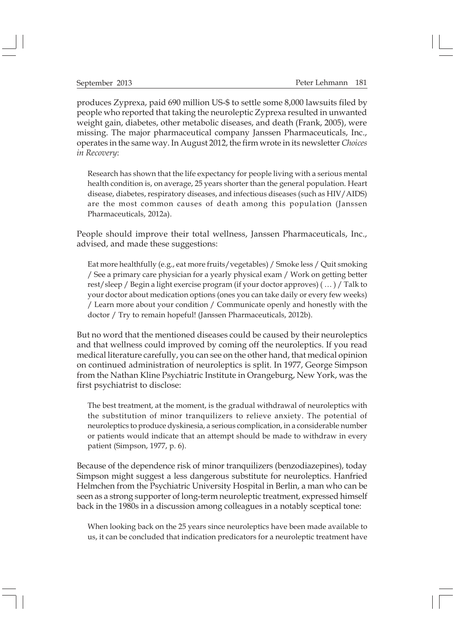produces Zyprexa, paid 690 million US-\$ to settle some 8,000 lawsuits filed by people who reported that taking the neuroleptic Zyprexa resulted in unwanted weight gain, diabetes, other metabolic diseases, and death (Frank, 2005), were missing. The major pharmaceutical company Janssen Pharmaceuticals, Inc., operates in the same way. In August 2012, the firm wrote in its newsletter Choices in Recovery:

Research has shown that the life expectancy for people living with a serious mental health condition is, on average, 25 years shorter than the general population. Heart disease, diabetes, respiratory diseases, and infectious diseases (such as HIV/AIDS) are the most common causes of death among this population (Janssen Pharmaceuticals, 2012a).

People should improve their total wellness, Janssen Pharmaceuticals, Inc., advised, and made these suggestions:

Eat more healthfully (e.g., eat more fruits/vegetables) / Smoke less / Quit smoking / See a primary care physician for a yearly physical exam / Work on getting better rest/sleep / Begin a light exercise program (if your doctor approves)  $(\,\ldots)\,$  Talk to your doctor about medication options (ones you can take daily or every few weeks) / Learn more about your condition / Communicate openly and honestly with the doctor / Try to remain hopeful! (Janssen Pharmaceuticals, 2012b).

But no word that the mentioned diseases could be caused by their neuroleptics and that wellness could improved by coming off the neuroleptics. If you read medical literature carefully, you can see on the other hand, that medical opinion on continued administration of neuroleptics is split. In 1977, George Simpson from the Nathan Kline Psychiatric Institute in Orangeburg, New York, was the first psychiatrist to disclose:

The best treatment, at the moment, is the gradual withdrawal of neuroleptics with the substitution of minor tranquilizers to relieve anxiety. The potential of neuroleptics to produce dyskinesia, a serious complication, in a considerable number or patients would indicate that an attempt should be made to withdraw in every patient (Simpson, 1977, p. 6).

Because of the dependence risk of minor tranquilizers (benzodiazepines), today Simpson might suggest a less dangerous substitute for neuroleptics. Hanfried Helmchen from the Psychiatric University Hospital in Berlin, a man who can be seen as a strong supporter of long-term neuroleptic treatment, expressed himself back in the 1980s in a discussion among colleagues in a notably sceptical tone:

When looking back on the 25 years since neuroleptics have been made available to us, it can be concluded that indication predicators for a neuroleptic treatment have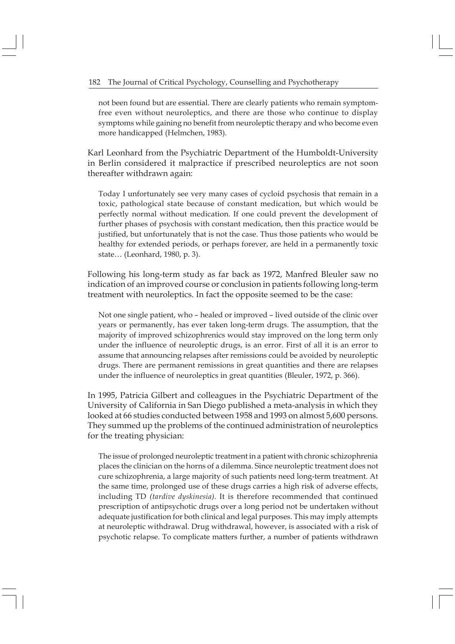not been found but are essential. There are clearly patients who remain symptomfree even without neuroleptics, and there are those who continue to display symptoms while gaining no benefit from neuroleptic therapy and who become even more handicapped (Helmchen, 1983).

Karl Leonhard from the Psychiatric Department of the Humboldt-University in Berlin considered it malpractice if prescribed neuroleptics are not soon thereafter withdrawn again:

Today I unfortunately see very many cases of cycloid psychosis that remain in a toxic, pathological state because of constant medication, but which would be perfectly normal without medication. If one could prevent the development of further phases of psychosis with constant medication, then this practice would be justified, but unfortunately that is not the case. Thus those patients who would be healthy for extended periods, or perhaps forever, are held in a permanently toxic state... (Leonhard, 1980, p. 3).

Following his long-term study as far back as 1972, Manfred Bleuler saw no indication of an improved course or conclusion in patients following long-term treatment with neuroleptics. In fact the opposite seemed to be the case:

Not one single patient, who – healed or improved – lived outside of the clinic over years or permanently, has ever taken long-term drugs. The assumption, that the majority of improved schizophrenics would stay improved on the long term only under the influence of neuroleptic drugs, is an error. First of all it is an error to assume that announcing relapses after remissions could be avoided by neuroleptic drugs. There are permanent remissions in great quantities and there are relapses under the influence of neuroleptics in great quantities (Bleuler, 1972, p. 366).

In 1995, Patricia Gilbert and colleagues in the Psychiatric Department of the University of California in San Diego published a meta-analysis in which they looked at 66 studies conducted between 1958 and 1993 on almost 5,600 persons. They summed up the problems of the continued administration of neuroleptics for the treating physician:

The issue of prolonged neuroleptic treatment in a patient with chronic schizophrenia places the clinician on the horns of a dilemma. Since neuroleptic treatment does not cure schizophrenia, a large majority of such patients need long-term treatment. At the same time, prolonged use of these drugs carries a high risk of adverse effects, including TD (tardive dyskinesia). It is therefore recommended that continued prescription of antipsychotic drugs over a long period not be undertaken without adequate justification for both clinical and legal purposes. This may imply attempts at neuroleptic withdrawal. Drug withdrawal, however, is associated with a risk of psychotic relapse. To complicate matters further, a number of patients withdrawn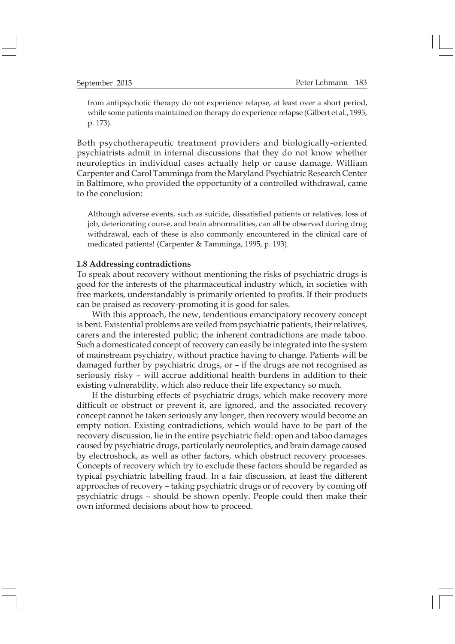from antipsychotic therapy do not experience relapse, at least over a short period, while some patients maintained on therapy do experience relapse (Gilbert et al., 1995, p. 173).

Both psychotherapeutic treatment providers and biologically-oriented psychiatrists admit in internal discussions that they do not know whether neuroleptics in individual cases actually help or cause damage. William Carpenter and Carol Tamminga from the Maryland Psychiatric Research Center in Baltimore, who provided the opportunity of a controlled withdrawal, came to the conclusion:

Although adverse events, such as suicide, dissatisfied patients or relatives, loss of job, deteriorating course, and brain abnormalities, can all be observed during drug withdrawal, each of these is also commonly encountered in the clinical care of medicated patients! (Carpenter & Tamminga, 1995, p. 193).

#### 1.8 Addressing contradictions

To speak about recovery without mentioning the risks of psychiatric drugs is good for the interests of the pharmaceutical industry which, in societies with free markets, understandably is primarily oriented to profits. If their products can be praised as recovery-promoting it is good for sales.

With this approach, the new, tendentious emancipatory recovery concept is bent. Existential problems are veiled from psychiatric patients, their relatives, carers and the interested public; the inherent contradictions are made taboo. Such a domesticated concept of recovery can easily be integrated into the system of mainstream psychiatry, without practice having to change. Patients will be damaged further by psychiatric drugs, or - if the drugs are not recognised as seriously risky - will accrue additional health burdens in addition to their existing vulnerability, which also reduce their life expectancy so much.

If the disturbing effects of psychiatric drugs, which make recovery more difficult or obstruct or prevent it, are ignored, and the associated recovery concept cannot be taken seriously any longer, then recovery would become an empty notion. Existing contradictions, which would have to be part of the recovery discussion, lie in the entire psychiatric field: open and taboo damages caused by psychiatric drugs, particularly neuroleptics, and brain damage caused by electroshock, as well as other factors, which obstruct recovery processes. Concepts of recovery which try to exclude these factors should be regarded as typical psychiatric labelling fraud. In a fair discussion, at least the different approaches of recovery – taking psychiatric drugs or of recovery by coming off psychiatric drugs - should be shown openly. People could then make their own informed decisions about how to proceed.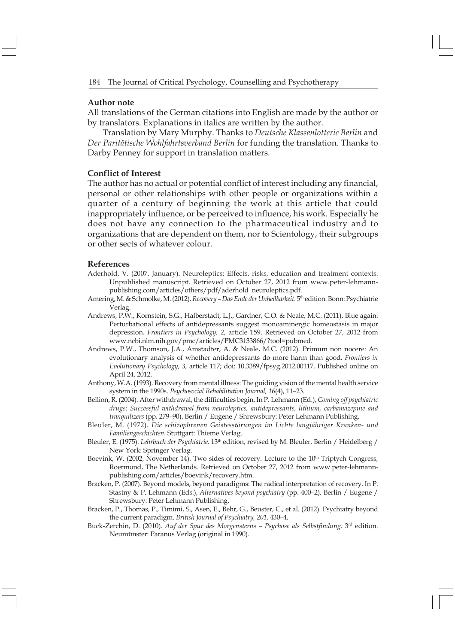#### Author note

All translations of the German citations into English are made by the author or by translators. Explanations in italics are written by the author.

Translation by Mary Murphy. Thanks to Deutsche Klassenlotterie Berlin and Der Paritätische Wohlfahrtsverband Berlin for funding the translation. Thanks to Darby Penney for support in translation matters.

### Conflict of Interest

The author has no actual or potential conflict of interest including any financial, personal or other relationships with other people or organizations within a quarter of a century of beginning the work at this article that could inappropriately influence, or be perceived to influence, his work. Especially he does not have any connection to the pharmaceutical industry and to organizations that are dependent on them, nor to Scientology, their subgroups or other sects of whatever colour.

#### References

- Aderhold, V. (2007, January). Neuroleptics: Effects, risks, education and treatment contexts. Unpublished manuscript. Retrieved on October 27, 2012 from www.peter-lehmannpublishing.com/articles/others/pdf/aderhold\_neuroleptics.pdf.
- Amering, M. & Schmolke, M. (2012). Recovery Das Ende der Unheilbarkeit. 5th edition. Bonn: Psychiatrie Verlag.
- Andrews, P.W., Kornstein, S.G., Halberstadt, L.J., Gardner, C.O. & Neale, M.C. (2011). Blue again: Perturbational effects of antidepressants suggest monoaminergic homeostasis in major depression. Frontiers in Psychology, 2, article 159. Retrieved on October 27, 2012 from www.ncbi.nlm.nih.gov/pmc/articles/PMC3133866/?tool=pubmed.
- Andrews, P.W., Thomson, J.A., Amstadter, A. & Neale, M.C. (2012). Primum non nocere: An evolutionary analysis of whether antidepressants do more harm than good. Frontiers in Evolutionary Psychology, 3, article 117; doi: 10.3389/fpsyg.2012.00117. Published online on April 24, 2012.
- Anthony, W.A. (1993). Recovery from mental illness: The guiding vision of the mental health service system in the 1990s. Psychosocial Rehabilitation Journal, 16(4), 11-23.
- Bellion, R. (2004). After withdrawal, the difficulties begin. In P. Lehmann (Ed.), Coming off psychiatric drugs: Successful withdrawal from neuroleptics, antidepressants, lithium, carbamazepine and tranquilizers (pp. 279-90). Berlin / Eugene / Shrewsbury: Peter Lehmann Publishing.
- Bleuler, M. (1972). Die schizophrenen Geistesstörungen im Lichte langjähriger Kranken- und Familiengeschichten. Stuttgart: Thieme Verlag.
- Bleuler, E. (1975). Lehrbuch der Psychiatrie. 13<sup>th</sup> edition, revised by M. Bleuler. Berlin / Heidelberg / New York: Springer Verlag.
- Boevink, W. (2002, November 14). Two sides of recovery. Lecture to the  $10<sup>th</sup>$  Triptych Congress, Roermond, The Netherlands. Retrieved on October 27, 2012 from www.peter-lehmannpublishing.com/articles/boevink/recovery.htm.
- Bracken, P. (2007). Beyond models, beyond paradigms: The radical interpretation of recovery. In P. Stastny & P. Lehmann (Eds.), Alternatives beyond psychiatry (pp. 400-2). Berlin / Eugene / Shrewsbury: Peter Lehmann Publishing.
- Bracken, P., Thomas, P., Timimi, S., Asen, E., Behr, G., Beuster, C., et al. (2012). Psychiatry beyond the current paradigm. British Journal of Psychiatry, 201, 430-4.
- Buck-Zerchin, D. (2010). Auf der Spur des Morgensterns Psychose als Selbstfindung. 3rd edition. Neumünster: Paranus Verlag (original in 1990).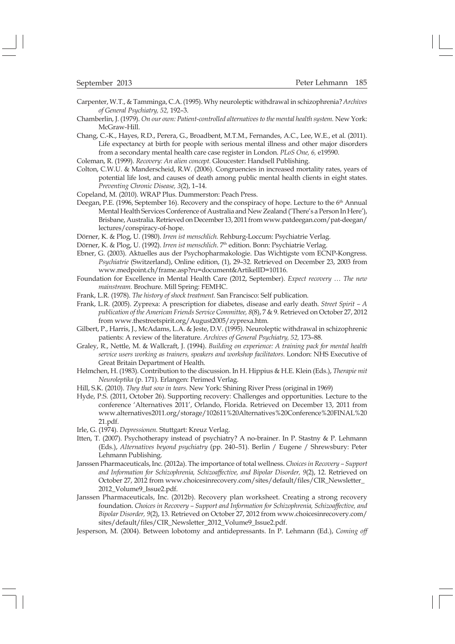- Carpenter, W.T., & Tamminga, C.A. (1995). Why neuroleptic withdrawal in schizophrenia? Archives of General Psychiatry, 52, 192-3.
- Chamberlin, J. (1979). On our own: Patient-controlled alternatives to the mental health system. New York: McGraw-Hill.
- Chang, C.-K., Hayes, R.D., Perera, G., Broadbent, M.T.M., Fernandes, A.C., Lee, W.E., et al. (2011). Life expectancy at birth for people with serious mental illness and other major disorders from a secondary mental health care case register in London. PLoS One, 6, e19590.
- Coleman, R. (1999). Recovery: An alien concept. Gloucester: Handsell Publishing.
- Colton, C.W.U. & Manderscheid, R.W. (2006). Congruencies in increased mortality rates, years of potential life lost, and causes of death among public mental health clients in eight states. Preventing Chronic Disease, 3(2), 1-14.
- Copeland, M. (2010). WRAP Plus. Dummerston: Peach Press.
- Deegan, P.E. (1996, September 16). Recovery and the conspiracy of hope. Lecture to the 6<sup>th</sup> Annual Mental Health Services Conference of Australia and New Zealand ('There's a Person In Here'), Brisbane, Australia. Retrieved on December 13, 2011 from www.patdeegan.com/pat-deegan/ lectures/conspiracy-of-hope.
- Dörner, K. & Plog, U. (1980). Irren ist menschlich. Rehburg-Loccum: Psychiatrie Verlag.
- Dörner, K. & Plog, U. (1992). Irren ist menschlich. 7<sup>th</sup> edition. Bonn: Psychiatrie Verlag.
- Ebner, G. (2003). Aktuelles aus der Psychopharmakologie. Das Wichtigste vom ECNP-Kongress. Psychiatrie (Switzerland), Online edition, (1), 29-32. Retrieved on December 23, 2003 from www.medpoint.ch/frame.asp?ru=document&ArtikelID=10116.
- Foundation for Excellence in Mental Health Care (2012, September). Expect recovery ... The new mainstream. Brochure. Mill Spring: FEMHC.
- Frank, L.R. (1978). The history of shock treatment. San Francisco: Self publication.
- Frank, L.R. (2005). Zyprexa: A prescription for diabetes, disease and early death. Street Spirit A publication of the American Friends Service Committee, 8(8), 7 & 9. Retrieved on October 27, 2012 from www.thestreetspirit.org/August2005/zyprexa.htm.
- Gilbert, P., Harris, J., McAdams, L.A. & Jeste, D.V. (1995). Neuroleptic withdrawal in schizophrenic patients: A review of the literature. Archives of General Psychiatry, 52, 173-88.
- Graley, R., Nettle, M. & Wallcraft, J. (1994). Building on experience: A training pack for mental health service users working as trainers, speakers and workshop facilitators. London: NHS Executive of Great Britain Department of Health.
- Helmchen, H. (1983). Contribution to the discussion. In H. Hippius & H.E. Klein (Eds.), Therapie mit Neuroleptika (p. 171). Erlangen: Perimed Verlag.
- Hill, S.K. (2010). They that sow in tears. New York: Shining River Press (original in 1969)
- Hyde, P.S. (2011, October 26). Supporting recovery: Challenges and opportunities. Lecture to the conference 'Alternatives 2011', Orlando, Florida. Retrieved on December 13, 2011 from www.alternatives2011.org/storage/102611%20Alternatives%20Conference%20FINAL%20 21.pdf.
- Irle, G. (1974). Depressionen. Stuttgart: Kreuz Verlag.
- Itten, T. (2007). Psychotherapy instead of psychiatry? A no-brainer. In P. Stastny & P. Lehmann (Eds.), Alternatives beyond psychiatry (pp. 240-51). Berlin / Eugene / Shrewsbury: Peter Lehmann Publishing.
- Janssen Pharmaceuticals, Inc. (2012a). The importance of total wellness. Choices in Recovery Support and Information for Schizophrenia, Schizoaffective, and Bipolar Disorder, 9(2), 12. Retrieved on October 27, 2012 from www.choicesinrecovery.com/sites/default/files/CIR\_Newsletter\_ 2012\_Volume9\_Issue2.pdf.
- Janssen Pharmaceuticals, Inc. (2012b). Recovery plan worksheet. Creating a strong recovery foundation. Choices in Recovery - Support and Information for Schizophrenia, Schizoaffective, and Bipolar Disorder, 9(2), 13. Retrieved on October 27, 2012 from www.choicesinrecovery.com/ sites/default/files/CIR\_Newsletter\_2012\_Volume9\_Issue2.pdf.
- Jesperson, M. (2004). Between lobotomy and antidepressants. In P. Lehmann (Ed.), Coming off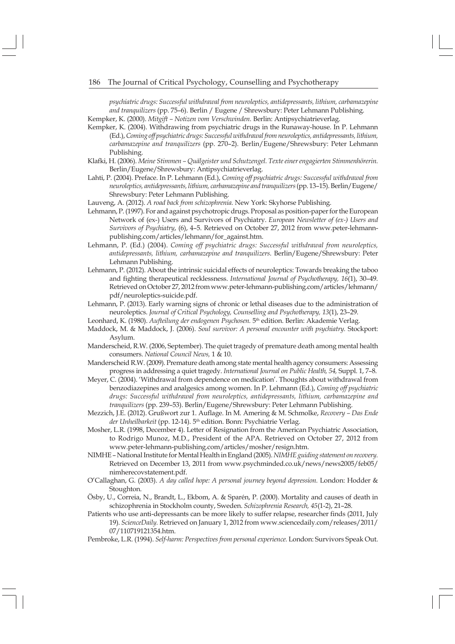psychiatric drugs: Successful withdrawal from neuroleptics, antidepressants, lithium, carbamazepine and tranquilizers (pp. 75-6). Berlin / Eugene / Shrewsbury: Peter Lehmann Publishing. Kempker, K. (2000). Mitgift - Notizen vom Verschwinden. Berlin: Antipsychiatrieverlag

Kempker, K. (2004). Withdrawing from psychiatric drugs in the Runaway-house. In P. Lehmann (Ed.), Coming off psychiatric drugs: Successful withdrawal from neuroleptics, antidepressants, lithium, carbamazepine and tranquilizers (pp. 270-2). Berlin/Eugene/Shrewsbury: Peter Lehmann Publishing.

- Klafki, H. (2006). Meine Stimmen Quälgeister und Schutzengel. Texte einer engagierten Stimmenhörerin. Berlin/Eugene/Shrewsbury: Antipsychiatrieverlag.
- Lahti, P. (2004). Preface. In P. Lehmann (Ed.), Coming off psychiatric drugs: Successful withdrawal from neuroleptics, antidepressants, lithium, carbamazepine and tranquilizers (pp. 13-15). Berlin/Eugene/ Shrewsbury: Peter Lehmann Publishing.

Lauveng, A. (2012). A road back from schizophrenia. New York: Skyhorse Publishing.

- Lehmann, P. (1997). For and against psychotropic drugs. Proposal as position-paper for the European Network of (ex-) Users and Survivors of Psychiatry. European Newsletter of (ex-) Users and Survivors of Psychiatry, (6), 4-5. Retrieved on October 27, 2012 from www.peter-lehmannpublishing.com/articles/lehmann/for\_against.htm.
- Lehmann, P. (Ed.) (2004). Coming off psychiatric drugs: Successful withdrawal from neuroleptics, antidepressants, lithium, carbamazepine and tranquilizers. Berlin/Eugene/Shrewsbury: Peter Lehmann Publishing.
- Lehmann, P. (2012). About the intrinsic suicidal effects of neuroleptics: Towards breaking the taboo and fighting therapeutical recklessness. International Journal of Psychotherapy, 16(1), 30-49. Retrieved on October 27, 2012 from www.peter-lehmann-publishing.com/articles/lehmann/ pdf/neuroleptics-suicide.pdf.
- Lehmann, P. (2013). Early warning signs of chronic or lethal diseases due to the administration of neuroleptics. Journal of Critical Psychology, Counselling and Psychotherapy, 13(1), 23-29.
- Leonhard, K. (1980). Aufteilung der endogenen Psychosen. 5<sup>th</sup> edition. Berlin: Akademie Verlag.
- Maddock, M. & Maddock, J. (2006). Soul survivor: A personal encounter with psychiatry. Stockport: Asylum.
- Manderscheid, R.W. (2006, September). The quiet tragedy of premature death among mental health consumers. National Council News, 1 & 10.
- Manderscheid R.W. (2009). Premature death among state mental health agency consumers: Assessing progress in addressing a quiet tragedy. International Journal on Public Health, 54, Suppl. 1, 7-8.
- Meyer, C. (2004). 'Withdrawal from dependence on medication'. Thoughts about withdrawal from benzodiazepines and analgesics among women. In P. Lehmann (Ed.), Coming off psychiatric drugs: Successful withdrawal from neuroleptics, antidepressants, lithium, carbamazepine and tranquilizers (pp. 239-53). Berlin/Eugene/Shrewsbury: Peter Lehmann Publishing.
- Mezzich, J.E. (2012). Grußwort zur 1. Auflage. In M. Amering & M. Schmolke, Recovery Das Ende der Unheilbarkeit (pp. 12-14). 5<sup>th</sup> edition. Bonn: Psychiatrie Verlag.
- Mosher, L.R. (1998, December 4). Letter of Resignation from the American Psychiatric Association, to Rodrigo Munoz, M.D., President of the APA. Retrieved on October 27, 2012 from www.peter-lehmann-publishing.com/articles/mosher/resign.htm.
- NIMHE National Institute for Mental Health in England (2005). NIMHE guiding statement on recovery. Retrieved on December 13, 2011 from www.psychminded.co.uk/news/news2005/feb05/ nimherecovstatement.pdf.
- O#Callaghan, G. (2003). A day called hope: A personal journey beyond depression. London: Hodder & Stoughton.
- Ösby, U., Correia, N., Brandt, L., Ekbom, A. & Sparén, P. (2000). Mortality and causes of death in schizophrenia in Stockholm county, Sweden. Schizophrenia Research, 45(1-2), 21-28.
- Patients who use anti-depressants can be more likely to suffer relapse, researcher finds (2011, July 19). ScienceDaily. Retrieved on January 1, 2012 from www.sciencedaily.com/releases/2011/ 07/110719121354.htm.

Pembroke, L.R. (1994). Self-harm: Perspectives from personal experience. London: Survivors Speak Out.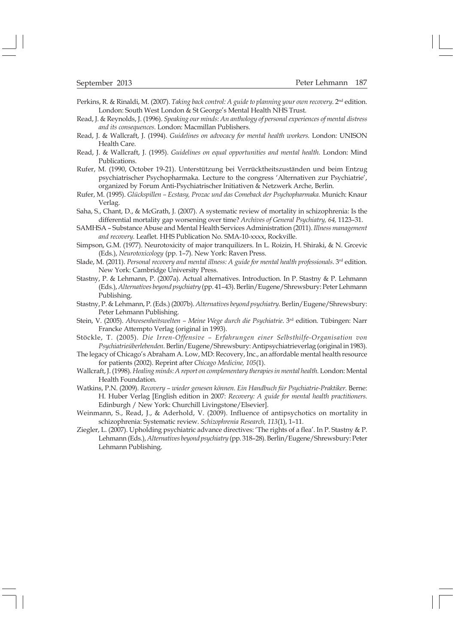Perkins, R. & Rinaldi, M. (2007). Taking back control: A guide to planning your own recovery. 2<sup>nd</sup> edition. London: South West London & St George's Mental Health NHS Trust.

- Read, J. & Reynolds, J. (1996). Speaking our minds: An anthology of personal experiences of mental distress and its consequences. London: Macmillan Publishers.
- Read, J. & Wallcraft, J. (1994). Guidelines on advocacy for mental health workers. London: UNISON Health Care.
- Read, J. & Wallcraft, J. (1995). Guidelines on equal opportunities and mental health. London: Mind Publications.
- Rufer, M. (1990, October 19-21). Unterstützung bei Verrücktheitszuständen und beim Entzug psychiatrischer Psychopharmaka. Lecture to the congress 'Alternativen zur Psychiatrie', organized by Forum Anti-Psychiatrischer Initiativen & Netzwerk Arche, Berlin.
- Rufer, M. (1995). Glückspillen Ecstasy, Prozac und das Comeback der Psychopharmaka. Munich: Knaur Verlag.
- Saha, S., Chant, D., & McGrath, J. (2007). A systematic review of mortality in schizophrenia: Is the differential mortality gap worsening over time? Archives of General Psychiatry, 64, 1123-31.
- SAMHSA Substance Abuse and Mental Health Services Administration (2011). Illness management and recovery. Leaflet. HHS Publication No. SMA-10-xxxx, Rockville.
- Simpson, G.M. (1977). Neurotoxicity of major tranquilizers. In L. Roizin, H. Shiraki, & N. Grcevic (Eds.), Neurotoxicology (pp. 1-7). New York: Raven Press.
- Slade, M. (2011). Personal recovery and mental illness: A guide for mental health professionals. 3<sup>rd</sup> edition. New York: Cambridge University Press.
- Stastny, P. & Lehmann, P. (2007a). Actual alternatives. Introduction. In P. Stastny & P. Lehmann (Eds.), Alternatives beyond psychiatry (pp. 41-43). Berlin/Eugene/Shrewsbury: Peter Lehmann Publishing.
- Stastny, P. & Lehmann, P. (Eds.) (2007b). Alternatives beyond psychiatry. Berlin/Eugene/Shrewsbury: Peter Lehmann Publishing.
- Stein, V. (2005). Abwesenheitswelten Meine Wege durch die Psychiatrie. 3rd edition. Tübingen: Narr Francke Attempto Verlag (original in 1993).
- Stöckle, T. (2005). Die Irren-Offensive Erfahrungen einer Selbsthilfe-Organisation von Psychiatrieüberlebenden. Berlin/Eugene/Shrewsbury: Antipsychiatrieverlag (original in 1983).
- The legacy of Chicago's Abraham A. Low, MD: Recovery, Inc., an affordable mental health resource for patients (2002). Reprint after Chicago Medicine, 105(1).
- Wallcraft, J. (1998). Healing minds: A report on complementary therapies in mental health. London: Mental Health Foundation.
- Watkins, P.N. (2009). Recovery wieder genesen können. Ein Handbuch für Psychiatrie-Praktiker. Berne: H. Huber Verlag [English edition in 2007: Recovery: A guide for mental health practitioners. Edinburgh / New York: Churchill Livingstone/Elsevier].
- Weinmann, S., Read, J., & Aderhold, V. (2009). Influence of antipsychotics on mortality in schizophrenia: Systematic review. Schizophrenia Research, 113(1), 1-11.
- Ziegler, L. (2007). Upholding psychiatric advance directives: 'The rights of a flea'. In P. Stastny & P. Lehmann (Eds.), Alternatives beyond psychiatry (pp. 318-28). Berlin/Eugene/Shrewsbury: Peter Lehmann Publishing.